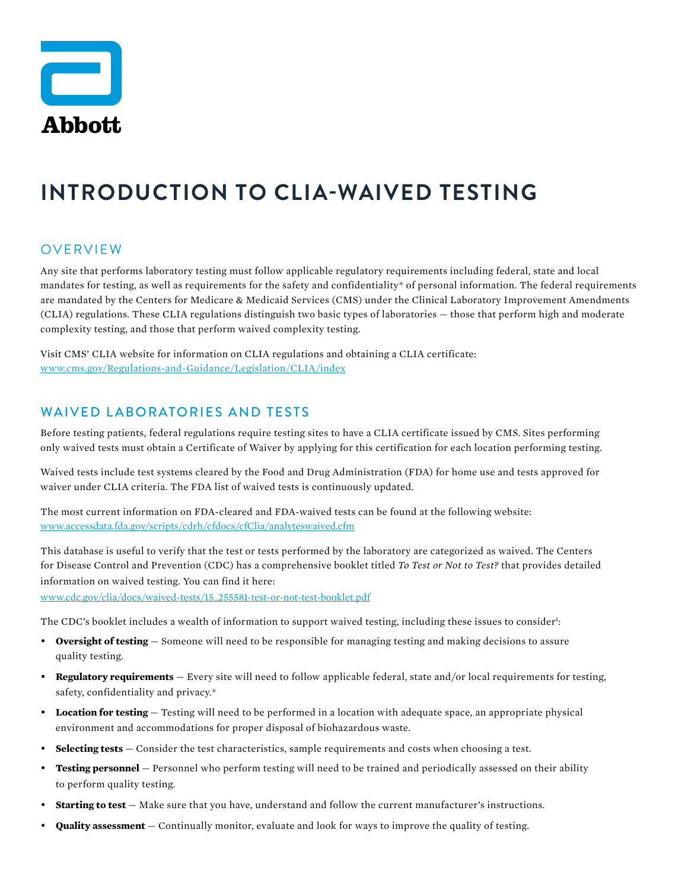

# **INTRODUCTION TO CLIA-WAIVED TESTING**

### OVERVIEW

Any site that performs laboratory testing must follow applicable regulatory requirements including federal, state and local mandates for testing, as well as requirements for the safety and confidentiality\* of personal information. The federal requirements are mandated by the Centers for Medicare & Medicaid Services (CMS) under the Clinical Laboratory Improvement Amendments (CLIA) regulations. These CLIA regulations distinguish two basic types of laboratories — those that perform high and moderate complexity testing, and those that perform waived complexity testing.

Visit CMS' CLIA website for information on CLIA regulations and obtaining a CLIA certificate: [www.cms.gov/Regulations-and-Guidance/Legislation/CLIA/index](https://www.cms.gov/Regulations-and-Guidance/Legislation/CLIA/index)

### WAIVED LABORATORIES AND TESTS

Before testing patients, federal regulations require testing sites to have a CLIA certificate issued by CMS. Sites performing only waived tests must obtain a Certificate of Waiver by applying for this certification for each location performing testing.

Waived tests include test systems cleared by the Food and Drug Administration (FDA) for home use and tests approved for waiver under CLIA criteria. The FDA list of waived tests is continuously updated.

The most current information on FDA-cleared and FDA-waived tests can be found at the following website: [www.accessdata.fda.gov/scripts/cdrh/cfdocs/cfClia/analyteswaived.cfm](https://www.accessdata.fda.gov/scripts/cdrh/cfdocs/cfClia/analyteswaived.cfm)

This database is useful to verify that the test or tests performed by the laboratory are categorized as waived. The Centers for Disease Control and Prevention (CDC) has a comprehensive booklet titled *To Test or Not to Test?* that provides detailed information on waived testing. You can find it here:

[www.cdc.gov/clia/docs/waived-tests/15\\_255581-test-or-not-test-booklet.pdf](https://www.cdc.gov/clia/docs/waived-tests/15_255581-test-or-not-test-booklet.pdf)

The CDC's booklet includes a wealth of information to support waived testing, including these issues to consider<sup>1</sup>:

- **Oversight of testing** Someone will need to be responsible for managing testing and making decisions to assure quality testing.
- **Regulatory requirements** Every site will need to follow applicable federal, state and/or local requirements for testing, safety, confidentiality and privacy.\*
- **Location for testing**  Testing will need to be performed in a location with adequate space, an appropriate physical environment and accommodations for proper disposal of biohazardous waste.
- **Selecting tests** Consider the test characteristics, sample requirements and costs when choosing a test.
- **Testing personnel** Personnel who perform testing will need to be trained and periodically assessed on their ability to perform quality testing.
- **Starting to test** Make sure that you have, understand and follow the current manufacturer's instructions.
- **Quality assessment** Continually monitor, evaluate and look for ways to improve the quality of testing.